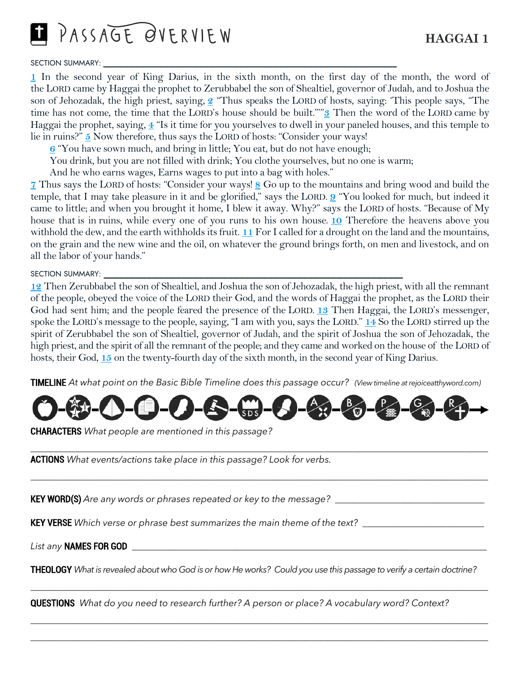PASSAGE OVERVIEW

### SECTION SUMMARY:

**[1](http://biblehub.com/haggai/1-1.htm)** In the second year of King Darius, in the sixth month, on the first day of the month, the word of the LORD came by Haggai the prophet to Zerubbabel the son of Shealtiel, governor of Judah, and to Joshua the son of Jehozadak, the high priest, saying, **[2](http://biblehub.com/haggai/1-2.htm)** "Thus speaks the LORD of hosts, saying: 'This people says, "The time has not come, the time that the LORD's house should be built."'"**[3](http://biblehub.com/haggai/1-3.htm)** Then the word of the LORD came by Haggai the prophet, saying, **[4](http://biblehub.com/haggai/1-4.htm)** "Is it time for you yourselves to dwell in your paneled houses, and this temple to lie in ruins?" **[5](http://biblehub.com/haggai/1-5.htm)** Now therefore, thus says the LORD of hosts: "Consider your ways!

**[6](http://biblehub.com/haggai/1-6.htm)** "You have sown much, and bring in little; You eat, but do not have enough;

You drink, but you are not filled with drink; You clothe yourselves, but no one is warm;

And he who earns wages, Earns wages to put into a bag with holes."

**[7](http://biblehub.com/haggai/1-7.htm)** Thus says the LORD of hosts: "Consider your ways! **[8](http://biblehub.com/haggai/1-8.htm)** Go up to the mountains and bring wood and build the temple, that I may take pleasure in it and be glorified," says the LORD. **[9](http://biblehub.com/haggai/1-9.htm)** "You looked for much, but indeed it came to little; and when you brought it home, I blew it away. Why?" says the LORD of hosts. "Because of My house that is in ruins, while every one of you runs to his own house. **[10](http://biblehub.com/haggai/1-10.htm)** Therefore the heavens above you withhold the dew, and the earth withholds its fruit. **[11](http://biblehub.com/haggai/1-11.htm)** For I called for a drought on the land and the mountains, on the grain and the new wine and the oil, on whatever the ground brings forth, on men and livestock, and on all the labor of your hands."

SECTION SUMMARY: \_

**[12](http://biblehub.com/haggai/1-12.htm)** Then Zerubbabel the son of Shealtiel, and Joshua the son of Jehozadak, the high priest, with all the remnant of the people, obeyed the voice of the LORD their God, and the words of Haggai the prophet, as the LORD their God had sent him; and the people feared the presence of the LORD. **[13](http://biblehub.com/haggai/1-13.htm)** Then Haggai, the LORD's messenger, spoke the LORD's message to the people, saying, "I am with you, says the LORD." **[14](http://biblehub.com/haggai/1-14.htm)** So the LORD stirred up the spirit of Zerubbabel the son of Shealtiel, governor of Judah, and the spirit of Joshua the son of Jehozadak, the high priest, and the spirit of all the remnant of the people; and they came and worked on the house of the LORD of hosts, their God, **[15](http://biblehub.com/haggai/1-15.htm)** on the twenty-fourth day of the sixth month, in the second year of King Darius.

TIMELINE *At what point on the Basic Bible Timeline does this passage occur? (View timeline at rejoiceatthyword.com)*



*\_\_\_\_\_\_\_\_\_\_\_\_\_\_\_\_\_\_\_\_\_\_\_\_\_\_\_\_\_\_\_\_\_\_\_\_\_\_\_\_\_\_\_\_\_\_\_\_\_\_\_\_\_\_\_\_\_\_\_\_\_\_\_\_\_\_\_\_\_\_\_\_\_\_\_\_\_\_\_\_\_\_\_\_\_\_\_\_\_\_\_\_\_\_\_\_\_\_* 

*\_\_\_\_\_\_\_\_\_\_\_\_\_\_\_\_\_\_\_\_\_\_\_\_\_\_\_\_\_\_\_\_\_\_\_\_\_\_\_\_\_\_\_\_\_\_\_\_\_\_\_\_\_\_\_\_\_\_\_\_\_\_\_\_\_\_\_\_\_\_\_\_\_\_\_\_\_\_\_\_\_\_\_\_\_\_\_\_\_\_\_\_\_\_\_\_\_\_* 

CHARACTERS *What people are mentioned in this passage?* 

ACTIONS *What events/actions take place in this passage? Look for verbs.* 

KEY WORD(S) *Are any words or phrases repeated or key to the message? \_\_\_\_\_\_\_\_\_\_\_\_\_\_\_\_\_\_\_\_\_\_\_\_\_\_\_\_\_\_\_\_* 

KEY VERSE *Which verse or phrase best summarizes the main theme of the text? \_\_\_\_\_\_\_\_\_\_\_\_\_\_\_\_\_\_\_\_\_\_\_\_\_\_*

*List any* NAMES FOR GOD *\_\_\_\_\_\_\_\_\_\_\_\_\_\_\_\_\_\_\_\_\_\_\_\_\_\_\_\_\_\_\_\_\_\_\_\_\_\_\_\_\_\_\_\_\_\_\_\_\_\_\_\_\_\_\_\_\_\_\_\_\_\_\_\_\_\_\_\_\_\_\_\_\_\_\_\_*

THEOLOGY *What is revealed about who God is or how He works? Could you use this passage to verify a certain doctrine?*

*\_\_\_\_\_\_\_\_\_\_\_\_\_\_\_\_\_\_\_\_\_\_\_\_\_\_\_\_\_\_\_\_\_\_\_\_\_\_\_\_\_\_\_\_\_\_\_\_\_\_\_\_\_\_\_\_\_\_\_\_\_\_\_\_\_\_\_\_\_\_\_\_\_\_\_\_\_\_\_\_\_\_\_\_\_\_\_\_\_\_\_\_\_\_\_\_\_\_*

*\_\_\_\_\_\_\_\_\_\_\_\_\_\_\_\_\_\_\_\_\_\_\_\_\_\_\_\_\_\_\_\_\_\_\_\_\_\_\_\_\_\_\_\_\_\_\_\_\_\_\_\_\_\_\_\_\_\_\_\_\_\_\_\_\_\_\_\_\_\_\_\_\_\_\_\_\_\_\_\_\_\_\_\_\_\_\_\_\_\_\_\_\_\_\_\_\_\_ \_\_\_\_\_\_\_\_\_\_\_\_\_\_\_\_\_\_\_\_\_\_\_\_\_\_\_\_\_\_\_\_\_\_\_\_\_\_\_\_\_\_\_\_\_\_\_\_\_\_\_\_\_\_\_\_\_\_\_\_\_\_\_\_\_\_\_\_\_\_\_\_\_\_\_\_\_\_\_\_\_\_\_\_\_\_\_\_\_\_\_\_\_\_\_\_\_\_*

QUESTIONS *What do you need to research further? A person or place? A vocabulary word? Context?*